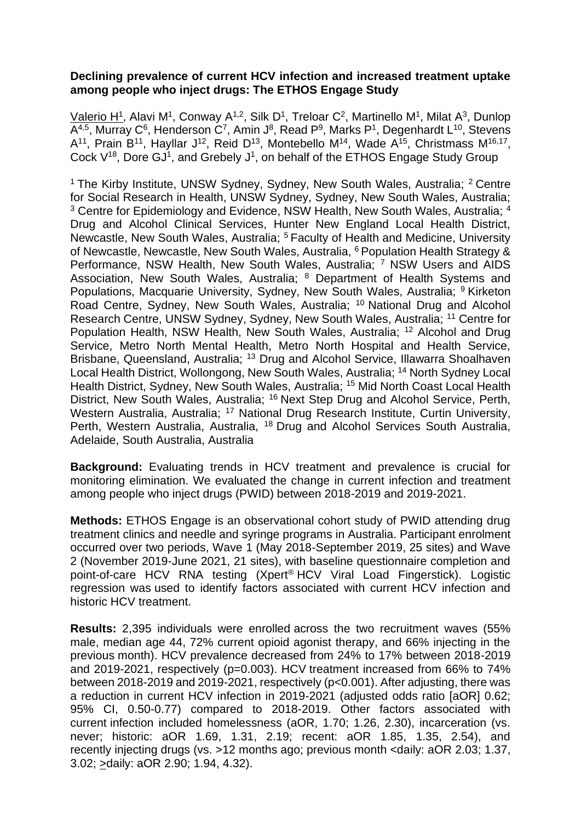## **Declining prevalence of current HCV infection and increased treatment uptake among people who inject drugs: The ETHOS Engage Study**

Valerio H<sup>1</sup>, Alavi M<sup>1</sup>, Conway A<sup>1,2</sup>, Silk D<sup>1</sup>, Treloar C<sup>2</sup>, Martinello M<sup>1</sup>, Milat A<sup>3</sup>, Dunlop A<sup>4,5</sup>, Murray C<sup>6</sup>, Henderson C<sup>7</sup>, Amin J<sup>8</sup>, Read P<sup>9</sup>, Marks P<sup>1</sup>, Degenhardt L<sup>10</sup>, Stevens  $A^{11}$ , Prain B<sup>11</sup>, Hayllar J<sup>12</sup>, Reid D<sup>13</sup>, Montebello M<sup>14</sup>, Wade A<sup>15</sup>, Christmass M<sup>16,17</sup>, Cock V<sup>18</sup>, Dore GJ<sup>1</sup>, and Grebely J<sup>1</sup>, on behalf of the ETHOS Engage Study Group

<sup>1</sup> The Kirby Institute, UNSW Sydney, Sydney, New South Wales, Australia; <sup>2</sup> Centre for Social Research in Health, UNSW Sydney, Sydney, New South Wales, Australia; <sup>3</sup> Centre for Epidemiology and Evidence, NSW Health, New South Wales, Australia; <sup>4</sup> Drug and Alcohol Clinical Services, Hunter New England Local Health District, Newcastle, New South Wales, Australia; <sup>5</sup>Faculty of Health and Medicine, University of Newcastle, Newcastle, New South Wales, Australia, <sup>6</sup> Population Health Strategy & Performance, NSW Health, New South Wales, Australia; <sup>7</sup> NSW Users and AIDS Association, New South Wales, Australia; <sup>8</sup> Department of Health Systems and Populations, Macquarie University, Sydney, New South Wales, Australia; <sup>9</sup> Kirketon Road Centre, Sydney, New South Wales, Australia; <sup>10</sup> National Drug and Alcohol Research Centre, UNSW Sydney, Sydney, New South Wales, Australia; <sup>11</sup> Centre for Population Health, NSW Health, New South Wales, Australia; <sup>12</sup> Alcohol and Drug Service, Metro North Mental Health, Metro North Hospital and Health Service, Brisbane, Queensland, Australia; <sup>13</sup> Drug and Alcohol Service, Illawarra Shoalhaven Local Health District, Wollongong, New South Wales, Australia; <sup>14</sup> North Sydney Local Health District, Sydney, New South Wales, Australia; <sup>15</sup> Mid North Coast Local Health District, New South Wales, Australia; <sup>16</sup> Next Step Drug and Alcohol Service, Perth, Western Australia, Australia; <sup>17</sup> National Drug Research Institute, Curtin University, Perth, Western Australia, Australia, <sup>18</sup> Drug and Alcohol Services South Australia, Adelaide, South Australia, Australia

**Background:** Evaluating trends in HCV treatment and prevalence is crucial for monitoring elimination. We evaluated the change in current infection and treatment among people who inject drugs (PWID) between 2018-2019 and 2019-2021.

**Methods:** ETHOS Engage is an observational cohort study of PWID attending drug treatment clinics and needle and syringe programs in Australia. Participant enrolment occurred over two periods, Wave 1 (May 2018-September 2019, 25 sites) and Wave 2 (November 2019-June 2021, 21 sites), with baseline questionnaire completion and point-of-care HCV RNA testing (Xpert® HCV Viral Load Fingerstick). Logistic regression was used to identify factors associated with current HCV infection and historic HCV treatment.

**Results:** 2,395 individuals were enrolled across the two recruitment waves (55% male, median age 44, 72% current opioid agonist therapy, and 66% injecting in the previous month). HCV prevalence decreased from 24% to 17% between 2018-2019 and 2019-2021, respectively (p=0.003). HCV treatment increased from 66% to 74% between 2018-2019 and 2019-2021, respectively (p<0.001). After adjusting, there was a reduction in current HCV infection in 2019-2021 (adjusted odds ratio [aOR] 0.62; 95% CI, 0.50-0.77) compared to 2018-2019. Other factors associated with current infection included homelessness (aOR, 1.70; 1.26, 2.30), incarceration (vs. never; historic: aOR 1.69, 1.31, 2.19; recent: aOR 1.85, 1.35, 2.54), and recently injecting drugs (vs. >12 months ago; previous month <daily: aOR 2.03; 1.37, 3.02; >daily: aOR 2.90; 1.94, 4.32).